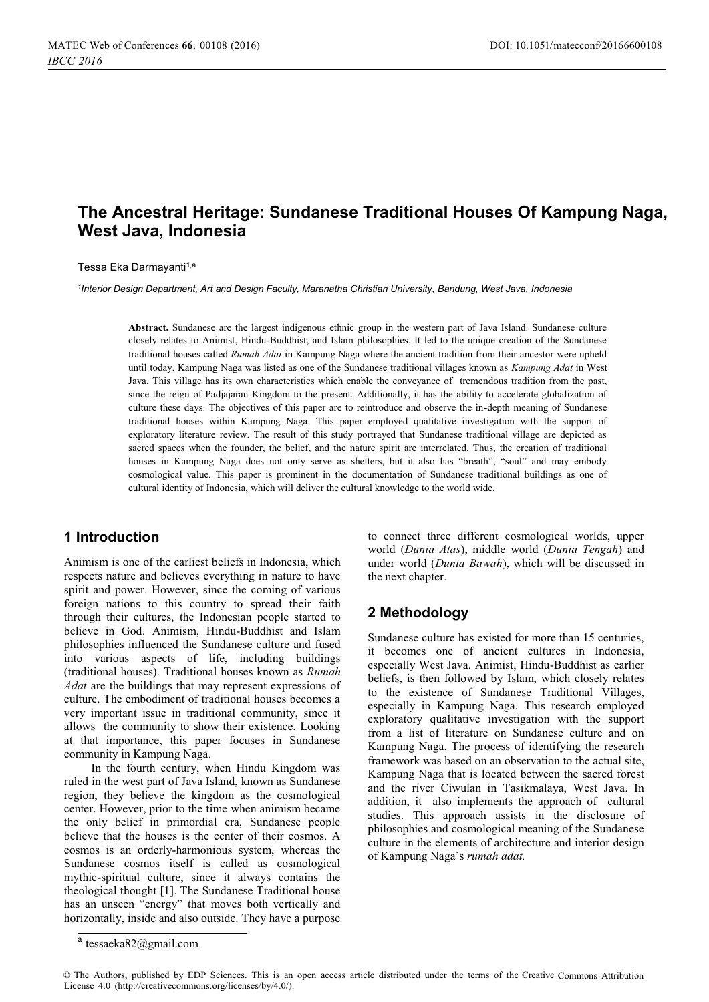# **The Ancestral Heritage: Sundanese Traditional Houses Of Kampung Naga, West Java, Indonesia**

Tessa Eka Darmayanti<sup>1,a</sup>

<sup>1</sup>Interior Design Department, Art and Design Faculty, Maranatha Christian University, Bandung, West Java, Indonesia

**Abstract.** Sundanese are the largest indigenous ethnic group in the western part of Java Island. Sundanese culture closely relates to Animist, Hindu-Buddhist, and Islam philosophies. It led to the unique creation of the Sundanese traditional houses called *Rumah Adat* in Kampung Naga where the ancient tradition from their ancestor were upheld until today. Kampung Naga was listed as one of the Sundanese traditional villages known as *Kampung Adat* in West Java. This village has its own characteristics which enable the conveyance of tremendous tradition from the past, since the reign of Padjajaran Kingdom to the present. Additionally, it has the ability to accelerate globalization of culture these days. The objectives of this paper are to reintroduce and observe the in-depth meaning of Sundanese traditional houses within Kampung Naga. This paper employed qualitative investigation with the support of exploratory literature review. The result of this study portrayed that Sundanese traditional village are depicted as sacred spaces when the founder, the belief, and the nature spirit are interrelated. Thus, the creation of traditional houses in Kampung Naga does not only serve as shelters, but it also has "breath", "soul" and may embody cosmological value. This paper is prominent in the documentation of Sundanese traditional buildings as one of cultural identity of Indonesia, which will deliver the cultural knowledge to the world wide.

#### **1 Introduction**

Animism is one of the earliest beliefs in Indonesia, which respects nature and believes everything in nature to have spirit and power. However, since the coming of various foreign nations to this country to spread their faith through their cultures, the Indonesian people started to believe in God. Animism, Hindu-Buddhist and Islam philosophies influenced the Sundanese culture and fused into various aspects of life, including buildings (traditional houses). Traditional houses known as *Rumah Adat* are the buildings that may represent expressions of culture. The embodiment of traditional houses becomes a very important issue in traditional community, since it allows the community to show their existence. Looking at that importance, this paper focuses in Sundanese community in Kampung Naga.

In the fourth century, when Hindu Kingdom was ruled in the west part of Java Island, known as Sundanese region, they believe the kingdom as the cosmological center. However, prior to the time when animism became the only belief in primordial era, Sundanese people believe that the houses is the center of their cosmos. A cosmos is an orderly-harmonious system, whereas the Sundanese cosmos itself is called as cosmological mythic-spiritual culture, since it always contains the theological thought [1]. The Sundanese Traditional house has an unseen "energy" that moves both vertically and horizontally, inside and also outside. They have a purpose

to connect three different cosmological worlds, upper world (*Dunia Atas*), middle world (*Dunia Tengah*) and under world (*Dunia Bawah*), which will be discussed in the next chapter.

## **2 Methodology**

Sundanese culture has existed for more than 15 centuries, it becomes one of ancient cultures in Indonesia, especially West Java. Animist, Hindu-Buddhist as earlier beliefs, is then followed by Islam, which closely relates to the existence of Sundanese Traditional Villages, especially in Kampung Naga. This research employed exploratory qualitative investigation with the support from a list of literature on Sundanese culture and on Kampung Naga. The process of identifying the research framework was based on an observation to the actual site, Kampung Naga that is located between the sacred forest and the river Ciwulan in Tasikmalaya, West Java. In addition, it also implements the approach of cultural studies. This approach assists in the disclosure of philosophies and cosmological meaning of the Sundanese culture in the elements of architecture and interior design of Kampung Naga's *rumah adat.* 

<sup>a</sup> [tessaeka82@gmail.com](mailto:tessaeka82@gmail.com)

<sup>©</sup> The Authors, published by EDP Sciences. This is an open access article distributed under the terms of the Creative Commons Attribution License 4.0 [\(http://creativecommons.org/licenses/by/4.0/\).](http://creativecommons.org/licenses/by/4.0/)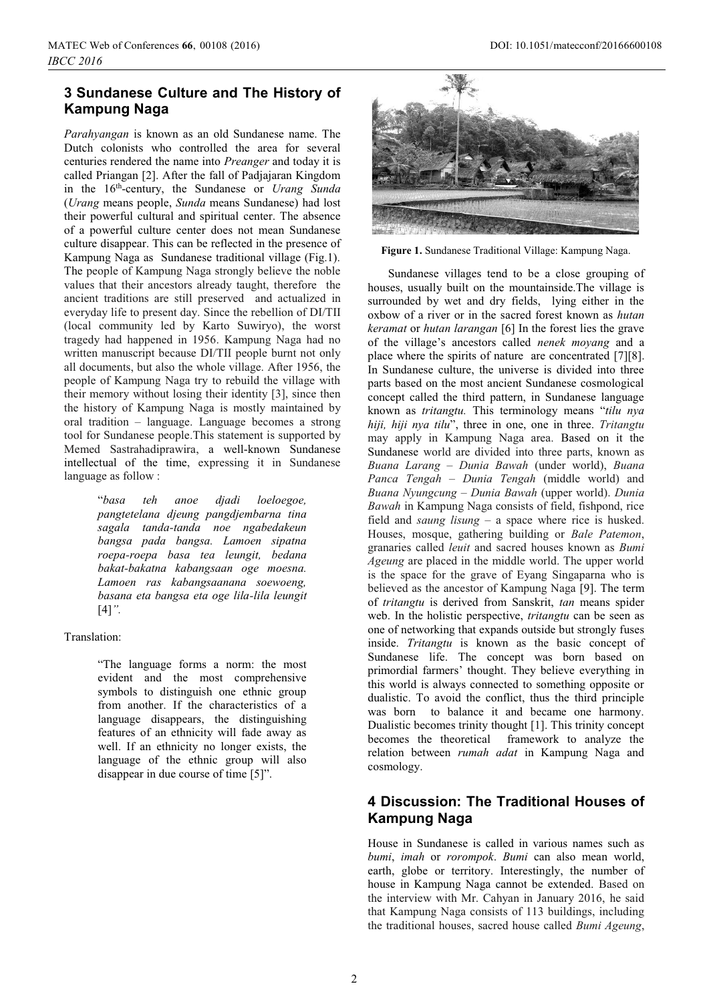## **3 Sundanese Culture and The History of Kampung Naga**

*Parahyangan* is known as an old Sundanese name. The Dutch colonists who controlled the area for several centuries rendered the name into *Preanger* and today it is called Priangan [2]. After the fall of Padjajaran Kingdom in the 16th-century, the Sundanese or *Urang Sunda* (*Urang* means people, *Sunda* means Sundanese) had lost their powerful cultural and spiritual center. The absence of a powerful culture center does not mean Sundanese culture disappear. This can be reflected in the presence of Kampung Naga as Sundanese traditional village (Fig.1). The people of Kampung Naga strongly believe the noble values that their ancestors already taught, therefore the ancient traditions are still preserved and actualized in everyday life to present day. Since the rebellion of DI/TII (local community led by Karto Suwiryo), the worst tragedy had happened in 1956. Kampung Naga had no written manuscript because DI/TII people burnt not only all documents, but also the whole village. After 1956, the people of Kampung Naga try to rebuild the village with their memory without losing their identity [3], since then the history of Kampung Naga is mostly maintained by oral tradition – language. Language becomes a strong tool for Sundanese people.This statement is supported by Memed Sastrahadiprawira, a well-known Sundanese intellectual of the time, expressing it in Sundanese language as follow :

> "*basa teh anoe djadi loeloegoe, pangtetelana djeung pangdjembarna tina sagala tanda-tanda noe ngabedakeun bangsa pada bangsa. Lamoen sipatna roepa-roepa basa tea leungit, bedana bakat-bakatna kabangsaan oge moesna. Lamoen ras kabangsaanana soewoeng, basana eta bangsa eta oge lila-lila leungit* [4]*".*

Translation:

"The language forms a norm: the most evident and the most comprehensive symbols to distinguish one ethnic group from another. If the characteristics of a language disappears, the distinguishing features of an ethnicity will fade away as well. If an ethnicity no longer exists, the language of the ethnic group will also disappear in due course of time [5]".



**Figure 1.** Sundanese Traditional Village: Kampung Naga.

 Sundanese villages tend to be a close grouping of houses, usually built on the mountainside.The village is surrounded by wet and dry fields, lying either in the oxbow of a river or in the sacred forest known as *hutan keramat* or *hutan larangan* [6] In the forest lies the grave of the village's ancestors called *nenek moyang* and a place where the spirits of nature are concentrated [7][8]. In Sundanese culture, the universe is divided into three parts based on the most ancient Sundanese cosmological concept called the third pattern, in Sundanese language known as *tritangtu.* This terminology means "*tilu nya hiji, hiji nya tilu*", three in one, one in three. *Tritangtu* may apply in Kampung Naga area. Based on it the Sundanese world are divided into three parts, known as *Buana Larang* – *Dunia Bawah* (under world), *Buana Panca Tengah* – *Dunia Tengah* (middle world) and *Buana Nyungcung – Dunia Bawah* (upper world). *Dunia Bawah* in Kampung Naga consists of field, fishpond, rice field and *saung lisung* – a space where rice is husked. Houses, mosque, gathering building or *Bale Patemon*, granaries called *leuit* and sacred houses known as *Bumi Ageung* are placed in the middle world. The upper world is the space for the grave of Eyang Singaparna who is believed as the ancestor of Kampung Naga [9]. The term of *tritangtu* is derived from Sanskrit, *tan* means spider web. In the holistic perspective, *tritangtu* can be seen as one of networking that expands outside but strongly fuses inside. *Tritangtu* is known as the basic concept of Sundanese life. The concept was born based on primordial farmers' thought. They believe everything in this world is always connected to something opposite or dualistic. To avoid the conflict, thus the third principle was born to balance it and became one harmony. Dualistic becomes trinity thought [1]. This trinity concept becomes the theoretical framework to analyze the relation between *rumah adat* in Kampung Naga and cosmology.

## **4 Discussion: The Traditional Houses of Kampung Naga**

House in Sundanese is called in various names such as *bumi*, *imah* or *rorompok*. *Bumi* can also mean world, earth, globe or territory. Interestingly, the number of house in Kampung Naga cannot be extended. Based on the interview with Mr. Cahyan in January 2016, he said that Kampung Naga consists of 113 buildings, including the traditional houses, sacred house called *Bumi Ageung*,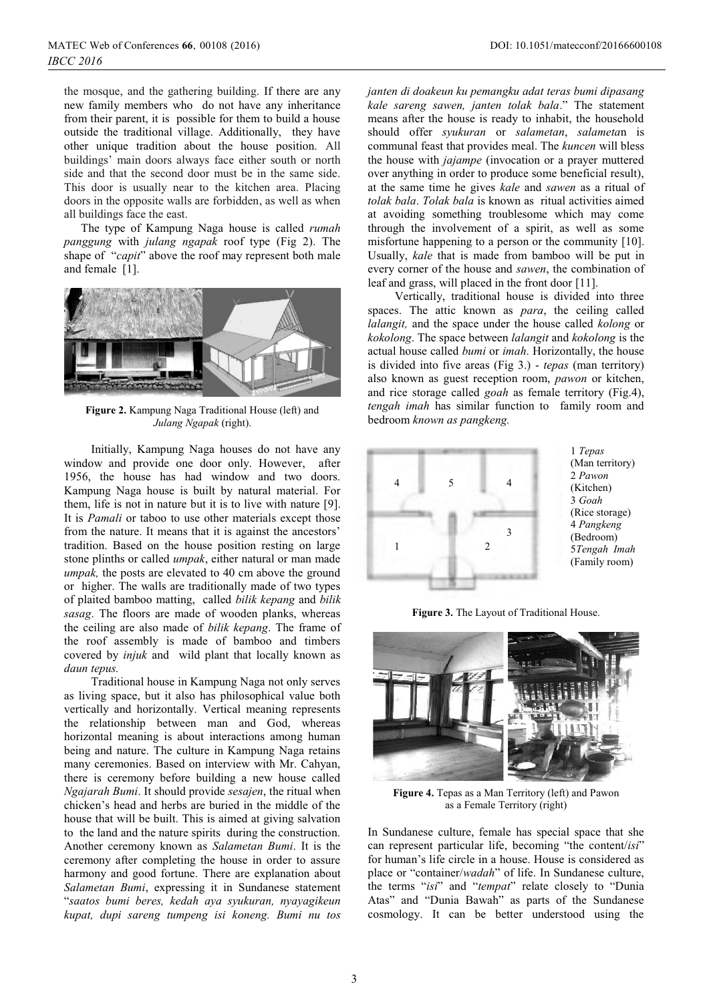the mosque, and the gathering building. If there are any new family members who do not have any inheritance from their parent, it is possible for them to build a house outside the traditional village. Additionally, they have other unique tradition about the house position. All buildings' main doors always face either south or north side and that the second door must be in the same side. This door is usually near to the kitchen area. Placing doors in the opposite walls are forbidden, as well as when all buildings face the east.

The type of Kampung Naga house is called *rumah panggung* with *julang ngapak* roof type (Fig 2). The shape of "*capit*" above the roof may represent both male and female [1].



**Figure 2.** Kampung Naga Traditional House (left) and *Julang Ngapak* (right).

Initially, Kampung Naga houses do not have any window and provide one door only. However, after 1956, the house has had window and two doors. Kampung Naga house is built by natural material. For them, life is not in nature but it is to live with nature [9]. It is *Pamali* or taboo to use other materials except those from the nature. It means that it is against the ancestors' tradition. Based on the house position resting on large stone plinths or called *umpak*, either natural or man made *umpak,* the posts are elevated to 40 cm above the ground or higher. The walls are traditionally made of two types of plaited bamboo matting, called *bilik kepang* and *bilik sasag*. The floors are made of wooden planks, whereas the ceiling are also made of *bilik kepang*. The frame of the roof assembly is made of bamboo and timbers covered by *injuk* and wild plant that locally known as *daun tepus.* 

Traditional house in Kampung Naga not only serves as living space, but it also has philosophical value both vertically and horizontally. Vertical meaning represents the relationship between man and God, whereas horizontal meaning is about interactions among human being and nature. The culture in Kampung Naga retains many ceremonies. Based on interview with Mr. Cahyan, there is ceremony before building a new house called *Ngajarah Bumi*. It should provide *sesajen*, the ritual when chicken's head and herbs are buried in the middle of the house that will be built. This is aimed at giving salvation to the land and the nature spirits during the construction. Another ceremony known as *Salametan Bumi*. It is the ceremony after completing the house in order to assure harmony and good fortune. There are explanation about *Salametan Bumi*, expressing it in Sundanese statement "*saatos bumi beres, kedah aya syukuran, nyayagikeun kupat, dupi sareng tumpeng isi koneng. Bumi nu tos* 

*janten di doakeun ku pemangku adat teras bumi dipasang kale sareng sawen, janten tolak bala*." The statement means after the house is ready to inhabit, the household should offer *syukuran* or *salametan*, *salameta*n is communal feast that provides meal. The *kuncen* will bless the house with *jajampe* (invocation or a prayer muttered over anything in order to produce some beneficial result), at the same time he gives *kale* and *sawen* as a ritual of *tolak bala*. *Tolak bala* is known as ritual activities aimed at avoiding something troublesome which may come through the involvement of a spirit, as well as some misfortune happening to a person or the community [10]. Usually, *kale* that is made from bamboo will be put in every corner of the house and *sawen*, the combination of leaf and grass, will placed in the front door [11].

Vertically, traditional house is divided into three spaces. The attic known as *para*, the ceiling called *lalangit,* and the space under the house called *kolong* or *kokolong*. The space between *lalangit* and *kokolong* is the actual house called *bumi* or *imah*. Horizontally, the house is divided into five areas (Fig 3.) - *tepas* (man territory) also known as guest reception room, *pawon* or kitchen, and rice storage called *goah* as female territory (Fig.4), *tengah imah* has similar function to family room and bedroom *known as pangkeng.*



**Figure 3.** The Layout of Traditional House.



**Figure 4.** Tepas as a Man Territory (left) and Pawon as a Female Territory (right)

In Sundanese culture, female has special space that she can represent particular life, becoming "the content/*isi*" for human's life circle in a house. House is considered as place or "container/*wadah*" of life. In Sundanese culture, the terms "*isi*" and "*tempat*" relate closely to "Dunia Atas" and "Dunia Bawah" as parts of the Sundanese cosmology. It can be better understood using the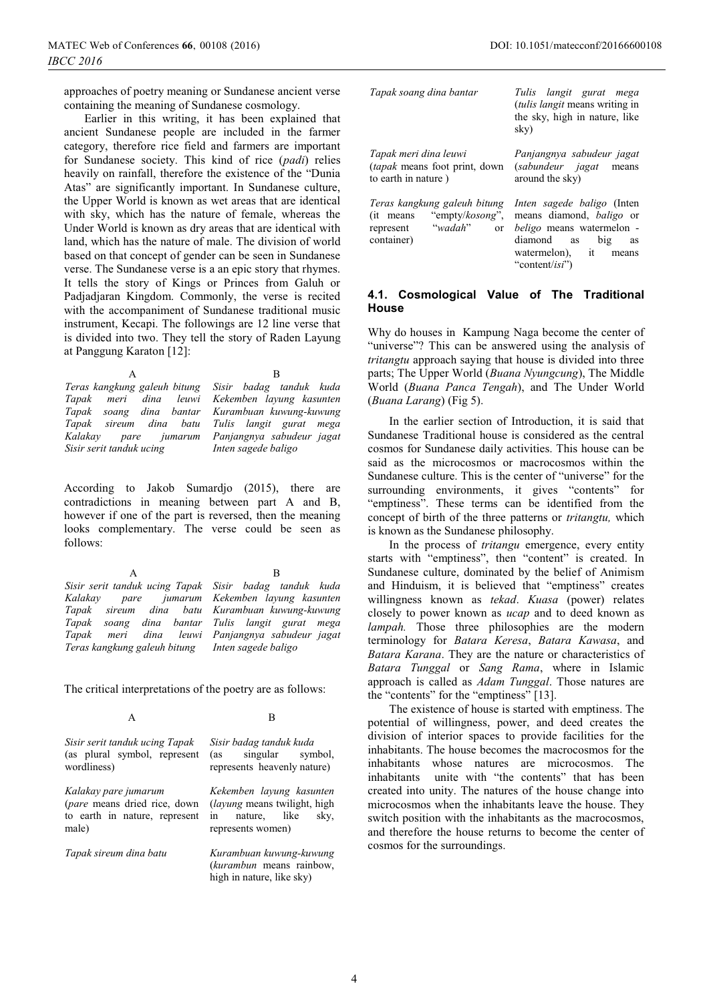approaches of poetry meaning or Sundanese ancient verse containing the meaning of Sundanese cosmology.

 Earlier in this writing, it has been explained that ancient Sundanese people are included in the farmer category, therefore rice field and farmers are important for Sundanese society. This kind of rice (*padi*) relies heavily on rainfall, therefore the existence of the "Dunia Atas" are significantly important. In Sundanese culture, the Upper World is known as wet areas that are identical with sky, which has the nature of female, whereas the Under World is known as dry areas that are identical with land, which has the nature of male. The division of world based on that concept of gender can be seen in Sundanese verse. The Sundanese verse is a an epic story that rhymes. It tells the story of Kings or Princes from Galuh or Padjadjaran Kingdom. Commonly, the verse is recited with the accompaniment of Sundanese traditional music instrument, Kecapi. The followings are 12 line verse that is divided into two. They tell the story of Raden Layung at Panggung Karaton [12]:

| Teras kangkung galeuh bitung Sisir badag tanduk kuda |                     |
|------------------------------------------------------|---------------------|
| Tapak meri dina leuwi Kekemben-layung kasunten       |                     |
| Tapak soang dina bantar Kurambuan-kuwung-kuwung      |                     |
| Tapak sireum dina batu Tulis langit gurat mega       |                     |
| Kalakay pare jumarum Panjangnya-sabudeur-jagat       |                     |
| Sisir serit tanduk ucing                             | Inten sagede baligo |

According to Jakob Sumardjo (2015), there are contradictions in meaning between part A and B, however if one of the part is reversed, then the meaning looks complementary. The verse could be seen as follows:

B *Sisir badag tanduk kuda Sisir serit tanduk ucing Tapak Kekemben layung kasunten Kalakay pare jumarum Kurambuan kuwung-kuwung Tapak sireum dina batu Tulis langit gurat mega Panjangnya sabudeur jagat Tapak meri dina leuwi Inten sagede baligo* A *Tapak soang dina bantar Teras kangkung galeuh bitung* 

The critical interpretations of the poetry are as follows:

A

B

| Sisir serit tanduk ucing Tapak<br>(as plural symbol, represent<br>wordliness)                  | Sisir badag tanduk kuda<br>singular symbol,<br>(as<br>represents heavenly nature)                                  |
|------------------------------------------------------------------------------------------------|--------------------------------------------------------------------------------------------------------------------|
| Kalakay pare jumarum<br>(pare means dried rice, down<br>to earth in nature, represent<br>male) | Kekemben layung kasunten<br><i>(layung</i> means twilight, high<br>nature, like<br>sky.<br>in<br>represents women) |
| Tapak sireum dina batu                                                                         | Kurambuan kuwung-kuwung<br>(kurambun means rainbow,<br>high in nature, like sky)                                   |

| Tapak soang dina bantar                                                                                                                | Tulis langit gurat mega<br><i>(tulis langit</i> means writing in<br>the sky, high in nature, like<br>sky)                                     |
|----------------------------------------------------------------------------------------------------------------------------------------|-----------------------------------------------------------------------------------------------------------------------------------------------|
| Tapak meri dina leuwi<br><i>(tapak</i> means foot print, down<br>to earth in nature)                                                   | Panjangnya sabudeur jagat<br>(sabundeur jagat means<br>around the sky)                                                                        |
| Teras kangkung galeuh bitung<br>(it means "empty/kosong", means diamond, baligo or<br>represent "wadah"<br><sub>or</sub><br>container) | Inten sagede baligo (Inten<br><i>beligo</i> means watermelon -<br>diamond as big<br>as<br>watermelon), it<br>means<br>"content/ <i>isi</i> ") |

#### **4.1. Cosmological Value of The Traditional House**

Why do houses in Kampung Naga become the center of "universe"? This can be answered using the analysis of *tritangtu* approach saying that house is divided into three parts; The Upper World (*Buana Nyungcung*), The Middle World (*Buana Panca Tengah*), and The Under World (*Buana Larang*) (Fig 5).

 In the earlier section of Introduction, it is said that Sundanese Traditional house is considered as the central cosmos for Sundanese daily activities. This house can be said as the microcosmos or macrocosmos within the Sundanese culture. This is the center of "universe" for the surrounding environments, it gives "contents" for "emptiness". These terms can be identified from the concept of birth of the three patterns or *tritangtu,* which is known as the Sundanese philosophy.

 In the process of *tritangu* emergence, every entity starts with "emptiness", then "content" is created. In Sundanese culture, dominated by the belief of Animism and Hinduism, it is believed that "emptiness" creates willingness known as *tekad*. *Kuasa* (power) relates closely to power known as *ucap* and to deed known as *lampah.* Those three philosophies are the modern terminology for *Batara Keresa*, *Batara Kawasa*, and *Batara Karana*. They are the nature or characteristics of *Batara Tunggal* or *Sang Rama*, where in Islamic approach is called as *Adam Tunggal*. Those natures are the "contents" for the "emptiness" [13].

 The existence of house is started with emptiness. The potential of willingness, power, and deed creates the division of interior spaces to provide facilities for the inhabitants. The house becomes the macrocosmos for the inhabitants whose natures are microcosmos. The inhabitants unite with "the contents" that has been created into unity. The natures of the house change into microcosmos when the inhabitants leave the house. They switch position with the inhabitants as the macrocosmos, and therefore the house returns to become the center of cosmos for the surroundings.